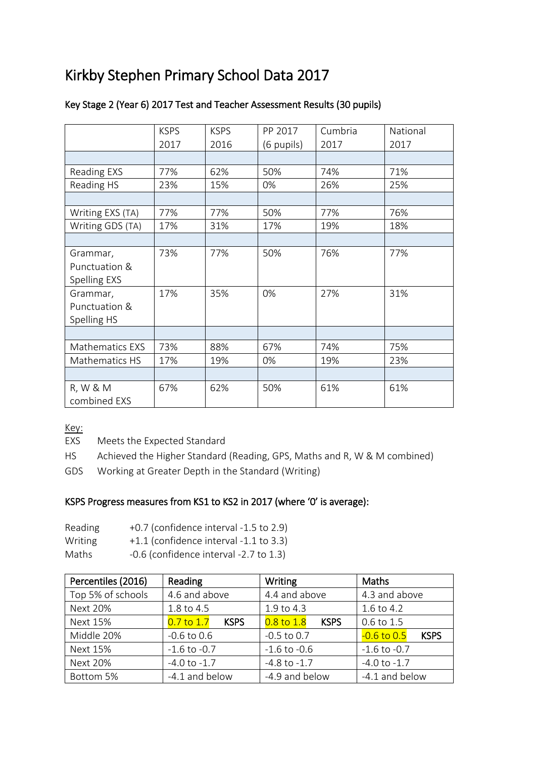# Kirkby Stephen Primary School Data 2017

|                        | <b>KSPS</b> | <b>KSPS</b> | PP 2017    | Cumbria | National |
|------------------------|-------------|-------------|------------|---------|----------|
|                        | 2017        | 2016        | (6 pupils) | 2017    | 2017     |
|                        |             |             |            |         |          |
| Reading EXS            | 77%         | 62%         | 50%        | 74%     | 71%      |
| Reading HS             | 23%         | 15%         | 0%         | 26%     | 25%      |
|                        |             |             |            |         |          |
| Writing EXS (TA)       | 77%         | 77%         | 50%        | 77%     | 76%      |
| Writing GDS (TA)       | 17%         | 31%         | 17%        | 19%     | 18%      |
|                        |             |             |            |         |          |
| Grammar,               | 73%         | 77%         | 50%        | 76%     | 77%      |
| Punctuation &          |             |             |            |         |          |
| Spelling EXS           |             |             |            |         |          |
| Grammar,               | 17%         | 35%         | 0%         | 27%     | 31%      |
| Punctuation &          |             |             |            |         |          |
| Spelling HS            |             |             |            |         |          |
|                        |             |             |            |         |          |
| <b>Mathematics EXS</b> | 73%         | 88%         | 67%        | 74%     | 75%      |
| Mathematics HS         | 17%         | 19%         | 0%         | 19%     | 23%      |
|                        |             |             |            |         |          |
| R, W & M               | 67%         | 62%         | 50%        | 61%     | 61%      |
| combined EXS           |             |             |            |         |          |

## Key Stage 2 (Year 6) 2017 Test and Teacher Assessment Results (30 pupils)

Key:

EXS Meets the Expected Standard

HS Achieved the Higher Standard (Reading, GPS, Maths and R, W & M combined)

GDS Working at Greater Depth in the Standard (Writing)

## KSPS Progress measures from KS1 to KS2 in 2017 (where '0' is average):

| Reading | +0.7 (confidence interval -1.5 to 2.9)     |
|---------|--------------------------------------------|
| Writing | $+1.1$ (confidence interval -1.1 to 3.3)   |
| Maths   | $-0.6$ (confidence interval $-2.7$ to 1.3) |

| Percentiles (2016) | Reading                       | Writing                       | Maths                          |  |
|--------------------|-------------------------------|-------------------------------|--------------------------------|--|
| Top 5% of schools  | 4.6 and above                 | 4.4 and above                 | 4.3 and above                  |  |
| <b>Next 20%</b>    | 1.8 to 4.5                    | 1.9 to 4.3                    | 1.6 to 4.2                     |  |
| Next 15%           | $0.7$ to $1.7$<br><b>KSPS</b> | $0.8$ to $1.8$<br><b>KSPS</b> | 0.6 to 1.5                     |  |
| Middle 20%         | $-0.6$ to $0.6$               | $-0.5$ to 0.7                 | $-0.6$ to $0.5$<br><b>KSPS</b> |  |
| <b>Next 15%</b>    | $-1.6$ to $-0.7$              | $-1.6$ to $-0.6$              | $-1.6$ to $-0.7$               |  |
| <b>Next 20%</b>    | $-4.0$ to $-1.7$              | $-4.8$ to $-1.7$              | $-4.0$ to $-1.7$               |  |
| Bottom 5%          | -4.1 and below                | -4.9 and below                | -4.1 and below                 |  |